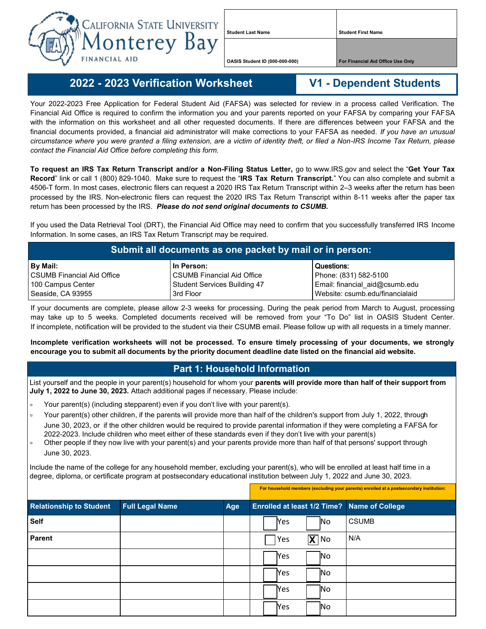

**Student Last Name Student First Name**

**OASIS Student ID (000-000-000) For Financial Aid Office Use Only**

## **2022 - - 2023 Verification Worksheet V1 - Dependent Students**

## Your 2022-2023 Free Application for Federal Student Aid (FAFSA) was selected for review in a process called Verification. The

Financial Aid Office is required to confirm the information you and your parents reported on your FAFSA by comparing your FAFSA with the information on this worksheet and all other requested documents. If there are differences between your FAFSA and the financial documents provided, a financial aid administrator will make corrections to your FAFSA as needed. *If you have an unusual circumstance where you were granted a filing extension, are a victim of identity theft, or filed a Non-IRS Income Tax Return, please contact the Financial Aid Office before completing this form.*

**To request an IRS Tax Return Transcript and/or a Non-Filing Status Letter,** go to www.IRS.gov and select the "**Get Your Tax Record**" link or call 1 (800) 829-1040. Make sure to request the "**IRS Tax Return Transcript.**" You can also complete and submit a 4506-T form. In most cases, electronic filers can request a 2020 IRS Tax Return Transcript within 2–3 weeks after the return has been processed by the IRS. Non-electronic filers can request the 2020 IRS Tax Return Transcript within 8-11 weeks after the paper tax return has been processed by the IRS. *Please do not send original documents to CSUMB.*

If you used the Data Retrieval Tool (DRT), the Financial Aid Office may need to confirm that you successfully transferred IRS Income Information. In some cases, an IRS Tax Return Transcript may be required.

| Submit all documents as one packet by mail or in person: |                                   |                                 |  |  |  |  |
|----------------------------------------------------------|-----------------------------------|---------------------------------|--|--|--|--|
| By Mail:                                                 | l In Person:                      | Questions:                      |  |  |  |  |
| l CSUMB Financial Aid Office                             | <b>CSUMB Financial Aid Office</b> | Phone: (831) 582-5100           |  |  |  |  |
| 100 Campus Center                                        | Student Services Building 47      | Email: financial aid@csumb.edu  |  |  |  |  |
| Seaside, CA 93955                                        | 3rd Floor                         | Website: csumb.edu/financialaid |  |  |  |  |

If your documents are complete, please allow 2-3 weeks for processing. During the peak period from March to August, processing may take up to 5 weeks. Completed documents received will be removed from your "To Do" list in OASIS Student Center. If incomplete, notification will be provided to the student via their CSUMB email. Please follow up with all requests in a timely manner.

**Incomplete verification worksheets will not be processed. To ensure timely processing of your documents, we strongly encourage you to submit all documents by the priority document deadline date listed on the financial aid website.**

## **Part 1: Household Information**

List yourself and the people in your parent(s) household for whom your **parents will provide more than half of their support from July 1, 2022 to June 30, 2023.** Attach additional pages if necessary. Please include:

- Your parent(s) (including stepparent) even if you don't live with your parent(s).
- □ Your parent(s) other children, if the parents will provide more than half of the children's support from July 1, 2022, through June 30, 2023, or if the other children would be required to provide parental information if they were completing a FAFSA for 2022-2023. Include children who meet either of these standards even if they don't live with your parent(s)
- Other people if they now live with your parent(s) and your parents provide more than half of that persons' support through June 30, 2023.

Include the name of the college for any household member, excluding your parent(s), who will be enrolled at least half time in a degree, diploma, or certificate program at postsecondary educational institution between July 1, 2022 and June 30, 2023.

| <b>Relationship to Student</b> | <b>Full Legal Name</b> | Age |            |                   | <b>Enrolled at least 1/2 Time?</b> Name of College |
|--------------------------------|------------------------|-----|------------|-------------------|----------------------------------------------------|
| <b>Self</b>                    |                        |     | <b>Yes</b> | No.               | <b>CSUMB</b>                                       |
| Parent                         |                        |     | Yes        | $\overline{X}$ No | N/A                                                |
|                                |                        |     | Yes        | No                |                                                    |
|                                |                        |     | <b>Yes</b> | No.               |                                                    |
|                                |                        |     | Yes        | No.               |                                                    |
|                                |                        |     | Yes        | No.               |                                                    |

**For household members (excluding your parents) enrolled at a postsecondary institution:**